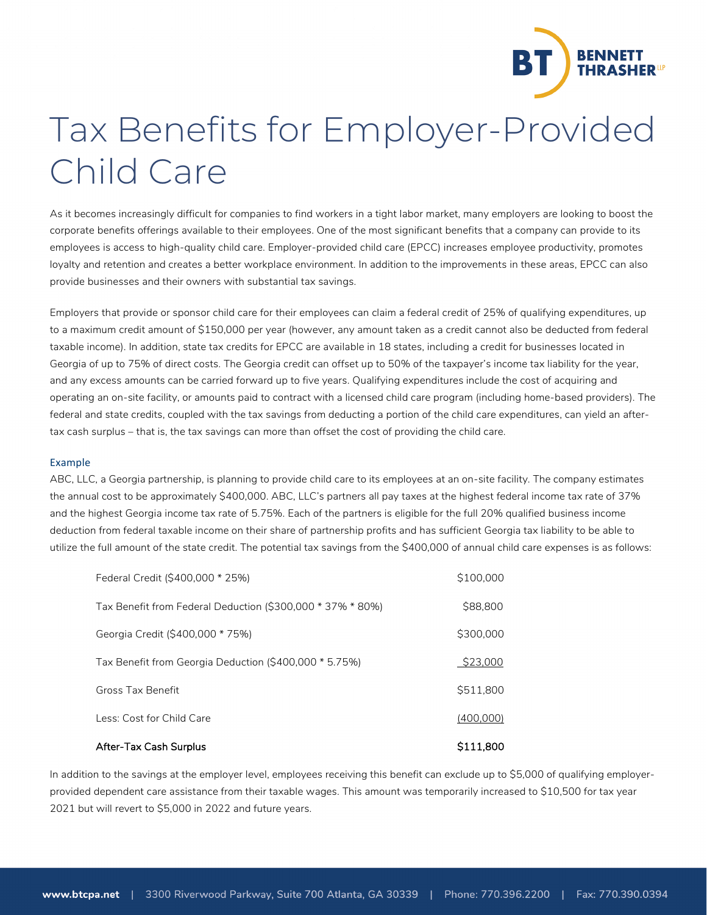

## Tax Benefits for Employer-Provided Child Care

As it becomes increasingly difficult for companies to find workers in a tight labor market, many employers are looking to boost the corporate benefits offerings available to their employees. One of the most significant benefits that a company can provide to its employees is access to high-quality child care. Employer-provided child care (EPCC) increases employee productivity, promotes loyalty and retention and creates a better workplace environment. In addition to the improvements in these areas, EPCC can also provide businesses and their owners with substantial tax savings.

Employers that provide or sponsor child care for their employees can claim a federal credit of 25% of qualifying expenditures, up to a maximum credit amount of \$150,000 per year (however, any amount taken as a credit cannot also be deducted from federal taxable income). In addition, state tax credits for EPCC are available in 18 states, including a credit for businesses located in Georgia of up to 75% of direct costs. The Georgia credit can offset up to 50% of the taxpayer's income tax liability for the year, and any excess amounts can be carried forward up to five years. Qualifying expenditures include the cost of acquiring and operating an on-site facility, or amounts paid to contract with a licensed child care program (including home-based providers). The federal and state credits, coupled with the tax savings from deducting a portion of the child care expenditures, can yield an aftertax cash surplus – that is, the tax savings can more than offset the cost of providing the child care.

## Example

ABC, LLC, a Georgia partnership, is planning to provide child care to its employees at an on-site facility. The company estimates the annual cost to be approximately \$400,000. ABC, LLC's partners all pay taxes at the highest federal income tax rate of 37% and the highest Georgia income tax rate of 5.75%. Each of the partners is eligible for the full 20% qualified business income deduction from federal taxable income on their share of partnership profits and has sufficient Georgia tax liability to be able to utilize the full amount of the state credit. The potential tax savings from the \$400,000 of annual child care expenses is as follows:

| After-Tax Cash Surplus                                     | \$111,800 |
|------------------------------------------------------------|-----------|
| Less: Cost for Child Care                                  | (400,000) |
| Gross Tax Benefit                                          | \$511,800 |
| Tax Benefit from Georgia Deduction (\$400,000 * 5.75%)     | \$23,000  |
| Georgia Credit (\$400,000 * 75%)                           | \$300,000 |
| Tax Benefit from Federal Deduction (\$300,000 * 37% * 80%) | \$88,800  |
| Federal Credit (\$400,000 * 25%)                           | \$100,000 |

In addition to the savings at the employer level, employees receiving this benefit can exclude up to \$5,000 of qualifying employerprovided dependent care assistance from their taxable wages. This amount was temporarily increased to \$10,500 for tax year 2021 but will revert to \$5,000 in 2022 and future years.